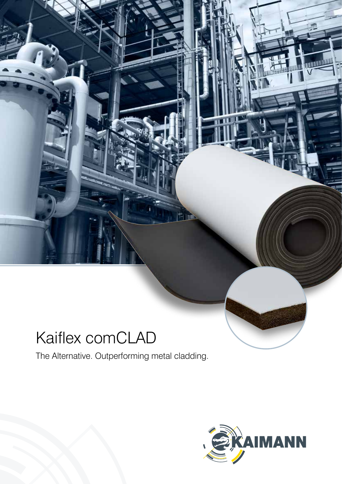# Kaiflex comCLAD

The Alternative. Outperforming metal cladding.

ħπ

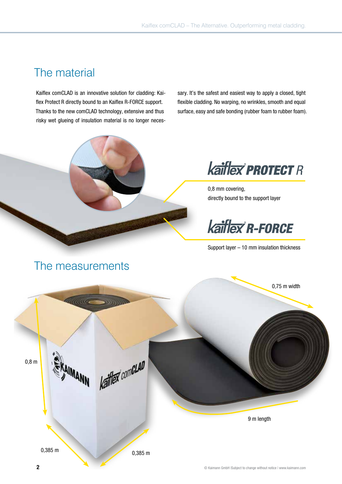### The material

Kaiflex comCLAD is an innovative solution for cladding: Kaiflex Protect R directly bound to an Kaiflex R-FORCE support. Thanks to the new comCLAD technology, extensive and thus risky wet glueing of insulation material is no longer necessary. It's the safest and easiest way to apply a closed, tight flexible cladding. No warping, no wrinkles, smooth and equal surface, easy and safe bonding (rubber foam to rubber foam).



**Kaiflex' PROTECT R** 

0,8 mm covering, directly bound to the support layer

**kaiflex R-FORCE** 

Support layer – 10 mm insulation thickness



### The measurements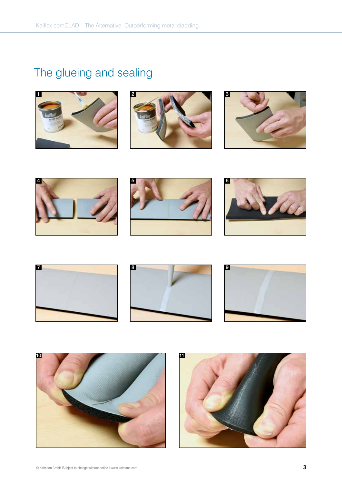## The glueing and sealing